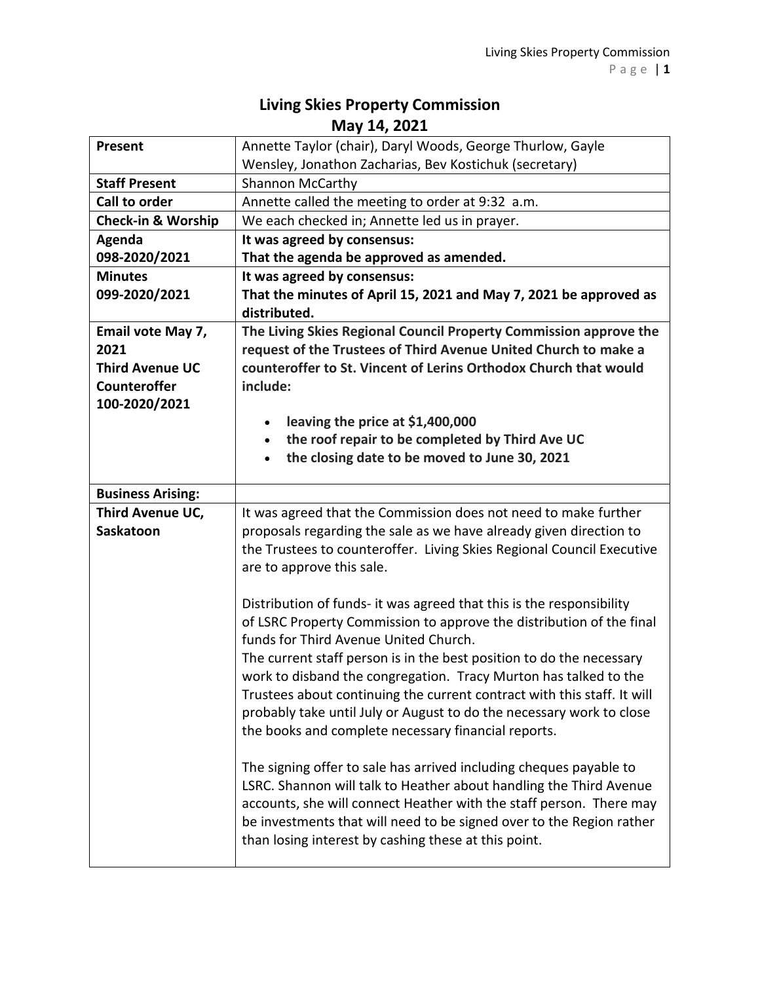## **Living Skies Property Commission May 14, 2021**

| <b>Present</b>                | Annette Taylor (chair), Daryl Woods, George Thurlow, Gayle                                                                                   |
|-------------------------------|----------------------------------------------------------------------------------------------------------------------------------------------|
|                               | Wensley, Jonathon Zacharias, Bev Kostichuk (secretary)                                                                                       |
| <b>Staff Present</b>          | <b>Shannon McCarthy</b>                                                                                                                      |
| <b>Call to order</b>          | Annette called the meeting to order at 9:32 a.m.                                                                                             |
| <b>Check-in &amp; Worship</b> | We each checked in; Annette led us in prayer.                                                                                                |
| Agenda                        | It was agreed by consensus:                                                                                                                  |
| 098-2020/2021                 | That the agenda be approved as amended.                                                                                                      |
| <b>Minutes</b>                | It was agreed by consensus:                                                                                                                  |
| 099-2020/2021                 | That the minutes of April 15, 2021 and May 7, 2021 be approved as                                                                            |
|                               | distributed.                                                                                                                                 |
| Email vote May 7,             | The Living Skies Regional Council Property Commission approve the                                                                            |
| 2021                          | request of the Trustees of Third Avenue United Church to make a                                                                              |
| <b>Third Avenue UC</b>        | counteroffer to St. Vincent of Lerins Orthodox Church that would                                                                             |
| <b>Counteroffer</b>           | include:                                                                                                                                     |
| 100-2020/2021                 |                                                                                                                                              |
|                               | leaving the price at \$1,400,000<br>$\bullet$                                                                                                |
|                               | the roof repair to be completed by Third Ave UC                                                                                              |
|                               | the closing date to be moved to June 30, 2021                                                                                                |
|                               |                                                                                                                                              |
| <b>Business Arising:</b>      |                                                                                                                                              |
| Third Avenue UC,              | It was agreed that the Commission does not need to make further                                                                              |
| Saskatoon                     | proposals regarding the sale as we have already given direction to                                                                           |
|                               | the Trustees to counteroffer. Living Skies Regional Council Executive                                                                        |
|                               | are to approve this sale.                                                                                                                    |
|                               |                                                                                                                                              |
|                               | Distribution of funds- it was agreed that this is the responsibility<br>of LSRC Property Commission to approve the distribution of the final |
|                               | funds for Third Avenue United Church.                                                                                                        |
|                               | The current staff person is in the best position to do the necessary                                                                         |
|                               |                                                                                                                                              |
|                               | work to disband the congregation. Tracy Murton has talked to the<br>Trustees about continuing the current contract with this staff. It will  |
|                               |                                                                                                                                              |
|                               | probably take until July or August to do the necessary work to close<br>the books and complete necessary financial reports.                  |
|                               |                                                                                                                                              |
|                               | The signing offer to sale has arrived including cheques payable to                                                                           |
|                               | LSRC. Shannon will talk to Heather about handling the Third Avenue                                                                           |
|                               | accounts, she will connect Heather with the staff person. There may                                                                          |
|                               |                                                                                                                                              |
|                               |                                                                                                                                              |
|                               | be investments that will need to be signed over to the Region rather<br>than losing interest by cashing these at this point.                 |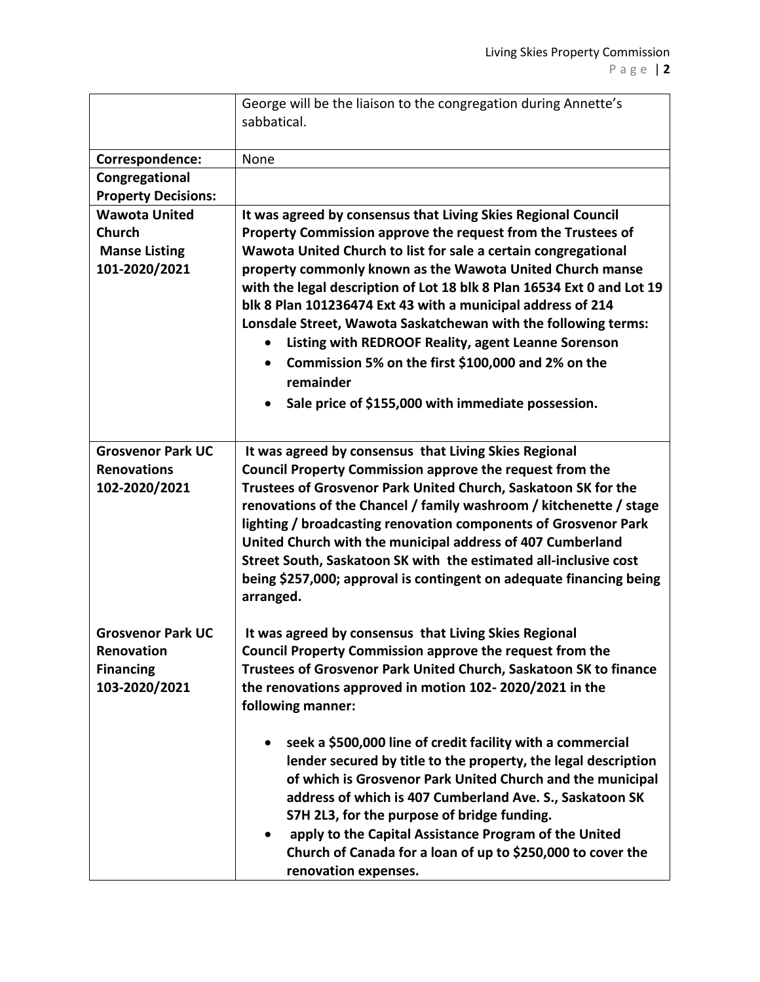|                                                                                | George will be the liaison to the congregation during Annette's<br>sabbatical.                                                                                                                                                                                                                                                                                                                                                                                                                                                                                                                                                                          |
|--------------------------------------------------------------------------------|---------------------------------------------------------------------------------------------------------------------------------------------------------------------------------------------------------------------------------------------------------------------------------------------------------------------------------------------------------------------------------------------------------------------------------------------------------------------------------------------------------------------------------------------------------------------------------------------------------------------------------------------------------|
| Correspondence:                                                                | None                                                                                                                                                                                                                                                                                                                                                                                                                                                                                                                                                                                                                                                    |
| Congregational<br><b>Property Decisions:</b>                                   |                                                                                                                                                                                                                                                                                                                                                                                                                                                                                                                                                                                                                                                         |
| <b>Wawota United</b><br><b>Church</b><br><b>Manse Listing</b><br>101-2020/2021 | It was agreed by consensus that Living Skies Regional Council<br>Property Commission approve the request from the Trustees of<br>Wawota United Church to list for sale a certain congregational<br>property commonly known as the Wawota United Church manse<br>with the legal description of Lot 18 blk 8 Plan 16534 Ext 0 and Lot 19<br>blk 8 Plan 101236474 Ext 43 with a municipal address of 214<br>Lonsdale Street, Wawota Saskatchewan with the following terms:<br>Listing with REDROOF Reality, agent Leanne Sorenson<br>Commission 5% on the first \$100,000 and 2% on the<br>remainder<br>Sale price of \$155,000 with immediate possession. |
| <b>Grosvenor Park UC</b><br><b>Renovations</b><br>102-2020/2021                | It was agreed by consensus that Living Skies Regional<br><b>Council Property Commission approve the request from the</b><br>Trustees of Grosvenor Park United Church, Saskatoon SK for the<br>renovations of the Chancel / family washroom / kitchenette / stage<br>lighting / broadcasting renovation components of Grosvenor Park<br>United Church with the municipal address of 407 Cumberland<br>Street South, Saskatoon SK with the estimated all-inclusive cost<br>being \$257,000; approval is contingent on adequate financing being<br>arranged.                                                                                               |
| <b>Grosvenor Park UC</b><br>Renovation<br><b>Financing</b><br>103-2020/2021    | It was agreed by consensus that Living Skies Regional<br>Council Property Commission approve the request from the<br>Trustees of Grosvenor Park United Church, Saskatoon SK to finance<br>the renovations approved in motion 102-2020/2021 in the<br>following manner:                                                                                                                                                                                                                                                                                                                                                                                  |
|                                                                                | seek a \$500,000 line of credit facility with a commercial<br>lender secured by title to the property, the legal description<br>of which is Grosvenor Park United Church and the municipal<br>address of which is 407 Cumberland Ave. S., Saskatoon SK<br>S7H 2L3, for the purpose of bridge funding.<br>apply to the Capital Assistance Program of the United<br>Church of Canada for a loan of up to \$250,000 to cover the<br>renovation expenses.                                                                                                                                                                                                   |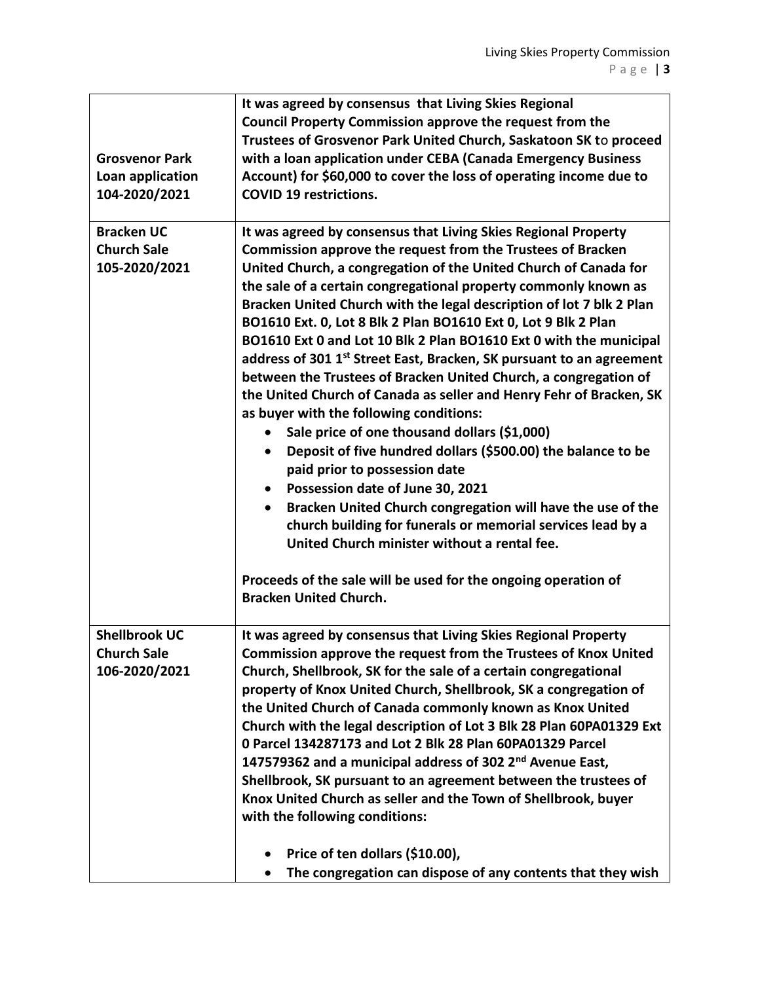| <b>Grosvenor Park</b><br>Loan application                   | It was agreed by consensus that Living Skies Regional<br><b>Council Property Commission approve the request from the</b><br>Trustees of Grosvenor Park United Church, Saskatoon SK to proceed<br>with a loan application under CEBA (Canada Emergency Business<br>Account) for \$60,000 to cover the loss of operating income due to                                                                                                                                                                                                                                                                                                                                                                                                                                                                                                                                                                                                                                                                                                                                                                                                                                                                                                                           |
|-------------------------------------------------------------|----------------------------------------------------------------------------------------------------------------------------------------------------------------------------------------------------------------------------------------------------------------------------------------------------------------------------------------------------------------------------------------------------------------------------------------------------------------------------------------------------------------------------------------------------------------------------------------------------------------------------------------------------------------------------------------------------------------------------------------------------------------------------------------------------------------------------------------------------------------------------------------------------------------------------------------------------------------------------------------------------------------------------------------------------------------------------------------------------------------------------------------------------------------------------------------------------------------------------------------------------------------|
| 104-2020/2021                                               | <b>COVID 19 restrictions.</b>                                                                                                                                                                                                                                                                                                                                                                                                                                                                                                                                                                                                                                                                                                                                                                                                                                                                                                                                                                                                                                                                                                                                                                                                                                  |
| <b>Bracken UC</b><br><b>Church Sale</b><br>105-2020/2021    | It was agreed by consensus that Living Skies Regional Property<br>Commission approve the request from the Trustees of Bracken<br>United Church, a congregation of the United Church of Canada for<br>the sale of a certain congregational property commonly known as<br>Bracken United Church with the legal description of lot 7 blk 2 Plan<br>BO1610 Ext. 0, Lot 8 Blk 2 Plan BO1610 Ext 0, Lot 9 Blk 2 Plan<br>BO1610 Ext 0 and Lot 10 Blk 2 Plan BO1610 Ext 0 with the municipal<br>address of 301 1 <sup>st</sup> Street East, Bracken, SK pursuant to an agreement<br>between the Trustees of Bracken United Church, a congregation of<br>the United Church of Canada as seller and Henry Fehr of Bracken, SK<br>as buyer with the following conditions:<br>Sale price of one thousand dollars (\$1,000)<br>Deposit of five hundred dollars (\$500.00) the balance to be<br>$\bullet$<br>paid prior to possession date<br>Possession date of June 30, 2021<br>$\bullet$<br>Bracken United Church congregation will have the use of the<br>church building for funerals or memorial services lead by a<br>United Church minister without a rental fee.<br>Proceeds of the sale will be used for the ongoing operation of<br><b>Bracken United Church.</b> |
|                                                             |                                                                                                                                                                                                                                                                                                                                                                                                                                                                                                                                                                                                                                                                                                                                                                                                                                                                                                                                                                                                                                                                                                                                                                                                                                                                |
| <b>Shellbrook UC</b><br><b>Church Sale</b><br>106-2020/2021 | It was agreed by consensus that Living Skies Regional Property<br>Commission approve the request from the Trustees of Knox United<br>Church, Shellbrook, SK for the sale of a certain congregational<br>property of Knox United Church, Shellbrook, SK a congregation of<br>the United Church of Canada commonly known as Knox United<br>Church with the legal description of Lot 3 Blk 28 Plan 60PA01329 Ext<br>0 Parcel 134287173 and Lot 2 Blk 28 Plan 60PA01329 Parcel<br>147579362 and a municipal address of 302 2 <sup>nd</sup> Avenue East,<br>Shellbrook, SK pursuant to an agreement between the trustees of<br>Knox United Church as seller and the Town of Shellbrook, buyer<br>with the following conditions:                                                                                                                                                                                                                                                                                                                                                                                                                                                                                                                                     |
|                                                             | Price of ten dollars (\$10.00),<br>The congregation can dispose of any contents that they wish                                                                                                                                                                                                                                                                                                                                                                                                                                                                                                                                                                                                                                                                                                                                                                                                                                                                                                                                                                                                                                                                                                                                                                 |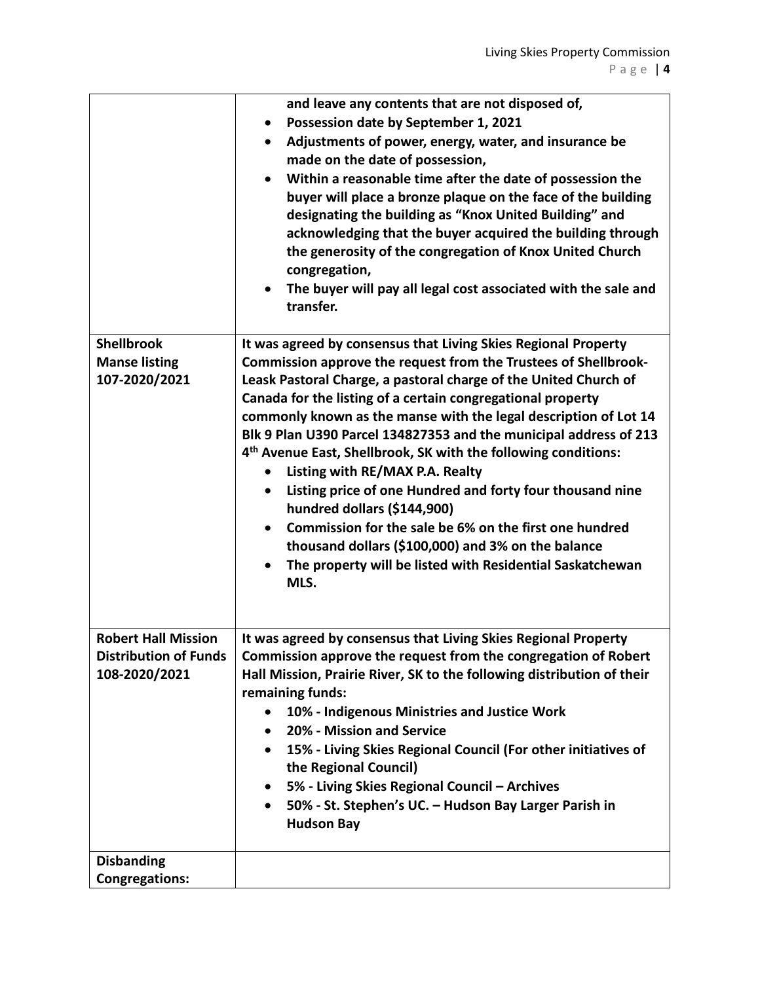|                                                                             | and leave any contents that are not disposed of,<br>Possession date by September 1, 2021<br>$\bullet$<br>Adjustments of power, energy, water, and insurance be<br>$\bullet$<br>made on the date of possession,<br>Within a reasonable time after the date of possession the<br>buyer will place a bronze plaque on the face of the building<br>designating the building as "Knox United Building" and<br>acknowledging that the buyer acquired the building through<br>the generosity of the congregation of Knox United Church<br>congregation,<br>The buyer will pay all legal cost associated with the sale and<br>transfer.                                                                                                                                                                                              |
|-----------------------------------------------------------------------------|------------------------------------------------------------------------------------------------------------------------------------------------------------------------------------------------------------------------------------------------------------------------------------------------------------------------------------------------------------------------------------------------------------------------------------------------------------------------------------------------------------------------------------------------------------------------------------------------------------------------------------------------------------------------------------------------------------------------------------------------------------------------------------------------------------------------------|
| <b>Shellbrook</b><br><b>Manse listing</b><br>107-2020/2021                  | It was agreed by consensus that Living Skies Regional Property<br>Commission approve the request from the Trustees of Shellbrook-<br>Leask Pastoral Charge, a pastoral charge of the United Church of<br>Canada for the listing of a certain congregational property<br>commonly known as the manse with the legal description of Lot 14<br>Blk 9 Plan U390 Parcel 134827353 and the municipal address of 213<br>4 <sup>th</sup> Avenue East, Shellbrook, SK with the following conditions:<br>Listing with RE/MAX P.A. Realty<br>$\bullet$<br>Listing price of one Hundred and forty four thousand nine<br>hundred dollars (\$144,900)<br>Commission for the sale be 6% on the first one hundred<br>thousand dollars (\$100,000) and 3% on the balance<br>The property will be listed with Residential Saskatchewan<br>MLS. |
| <b>Robert Hall Mission</b><br><b>Distribution of Funds</b><br>108-2020/2021 | It was agreed by consensus that Living Skies Regional Property<br>Commission approve the request from the congregation of Robert<br>Hall Mission, Prairie River, SK to the following distribution of their<br>remaining funds:<br>10% - Indigenous Ministries and Justice Work<br>20% - Mission and Service<br>$\bullet$<br>15% - Living Skies Regional Council (For other initiatives of<br>$\bullet$<br>the Regional Council)<br>5% - Living Skies Regional Council - Archives<br>$\bullet$<br>50% - St. Stephen's UC. - Hudson Bay Larger Parish in<br>$\bullet$<br><b>Hudson Bay</b>                                                                                                                                                                                                                                     |
| <b>Disbanding</b><br><b>Congregations:</b>                                  |                                                                                                                                                                                                                                                                                                                                                                                                                                                                                                                                                                                                                                                                                                                                                                                                                              |